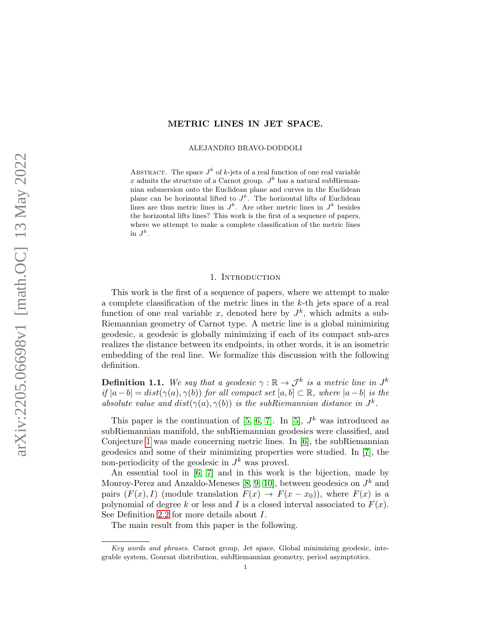## METRIC LINES IN JET SPACE.

ALEJANDRO BRAVO-DODDOLI

ABSTRACT. The space  $J^k$  of k-jets of a real function of one real variable x admits the structure of a Carnot group.  $J^k$  has a natural subRiemannian submersion onto the Euclidean plane and curves in the Euclidean plane can be horizontal lifted to  $J<sup>k</sup>$ . The horizontal lifts of Euclidean lines are thus metric lines in  $J^k$ . Are other metric lines in  $J^k$  besides the horizontal lifts lines? This work is the first of a sequence of papers, where we attempt to make a complete classification of the metric lines in  $J^k$ .

#### 1. INTRODUCTION

This work is the first of a sequence of papers, where we attempt to make a complete classification of the metric lines in the k-th jets space of a real function of one real variable x, denoted here by  $J^k$ , which admits a sub-Riemannian geometry of Carnot type. A metric line is a global minimizing geodesic, a geodesic is globally minimizing if each of its compact sub-arcs realizes the distance between its endpoints, in other words, it is an isometric embedding of the real line. We formalize this discussion with the following definition.

**Definition 1.1.** We say that a geodesic  $\gamma : \mathbb{R} \to \mathcal{J}^k$  is a metric line in  $J^k$ if  $|a-b| = dist(\gamma(a), \gamma(b))$  for all compact set  $[a, b] \subset \mathbb{R}$ , where  $|a-b|$  is the absolute value and  $dist(\gamma(a), \gamma(b))$  is the subRiemannian distance in  $J^k$ .

This paper is the continuation of [\[5,](#page-19-0) [6,](#page-19-1) [7\]](#page-19-2). In [\[5\]](#page-19-0),  $J^k$  was introduced as subRiemannian manifold, the subRiemannian geodesics were classified, and Conjecture [1](#page-1-0) was made concerning metric lines. In [\[6\]](#page-19-1), the subRiemannian geodesics and some of their minimizing properties were studied. In [\[7\]](#page-19-2), the non-periodicity of the geodesic in  $J^k$  was proved.

An essential tool in [\[6,](#page-19-1) [7\]](#page-19-2) and in this work is the bijection, made by Monroy-Perez and Anzaldo-Meneses [\[8,](#page-19-3) [9,](#page-19-4) [10\]](#page-19-5), between geodesics on  $J^k$  and pairs  $(F(x), I)$  (module translation  $F(x) \to F(x-x_0)$ ), where  $F(x)$  is a polynomial of degree k or less and I is a closed interval associated to  $F(x)$ . See Definition [2.2](#page-4-0) for more details about I.

The main result from this paper is the following.

Key words and phrases. Carnot group, Jet space, Global minimizing geodesic, integrable system, Goursat distribution, subRiemannian geometry, period asymptotics.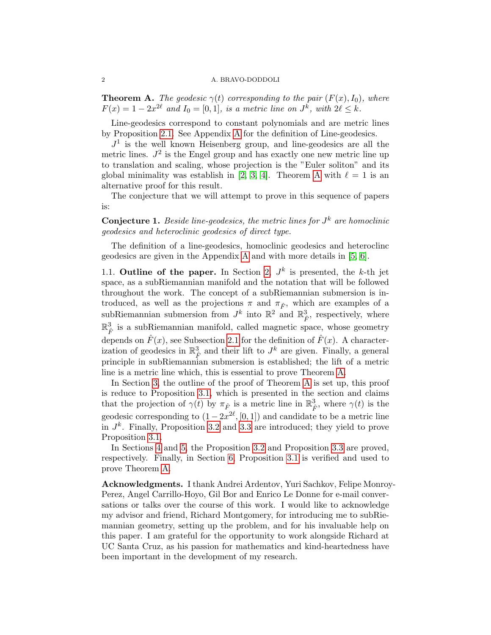<span id="page-1-1"></span>**Theorem A.** The geodesic  $\gamma(t)$  corresponding to the pair  $(F(x), I_0)$ , where  $F(x) = 1 - 2x^{2\ell}$  and  $I_0 = [0, 1]$ , is a metric line on  $J^k$ , with  $2\ell \leq k$ .

Line-geodesics correspond to constant polynomials and are metric lines by Proposition [2.1.](#page-3-0) See Appendix [A](#page-16-0) for the definition of Line-geodesics.

 $J<sup>1</sup>$  is the well known Heisenberg group, and line-geodesics are all the metric lines.  $J^2$  is the Engel group and has exactly one new metric line up to translation and scaling, whose projection is the "Euler soliton" and its global minimality was establish in [\[2,](#page-19-6) [3,](#page-19-7) [4\]](#page-19-8). Theorem [A](#page-1-1) with  $\ell = 1$  is an alternative proof for this result.

The conjecture that we will attempt to prove in this sequence of papers is:

<span id="page-1-0"></span>**Conjecture 1.** Beside line-geodesics, the metric lines for  $J^k$  are homoclinic geodesics and heteroclinic geodesics of direct type.

The definition of a line-geodesics, homoclinic geodesics and heteroclinc geodesics are given in the Appendix [A](#page-16-0) and with more details in [\[5,](#page-19-0) [6\]](#page-19-1).

1.1. Outline of the paper. In Section [2,](#page-2-0)  $J^k$  is presented, the k-th jet space, as a subRiemannian manifold and the notation that will be followed throughout the work. The concept of a subRiemannian submersion is introduced, as well as the projections  $\pi$  and  $\pi_{\hat{F}}$ , which are examples of a subRiemannian submersion from  $J^k$  into  $\mathbb{R}^2$  and  $\mathbb{R}^3_{\hat{F}}$ , respectively, where  $\mathbb{R}^3_{\hat{F}}$  is a subRiemannian manifold, called magnetic space, whose geometry depends on  $\hat{F}(x)$ , see Subsection [2.1](#page-3-1) for the definition of  $\hat{F}(x)$ . A characterization of geodesics in  $\mathbb{R}^3_{\hat{F}}$  and their lift to  $J^k$  are given. Finally, a general principle in subRiemannian submersion is established; the lift of a metric line is a metric line which, this is essential to prove Theorem [A.](#page-1-1)

In Section [3,](#page-6-0) the outline of the proof of Theorem [A](#page-1-1) is set up, this proof is reduce to Proposition [3.1,](#page-6-1) which is presented in the section and claims that the projection of  $\gamma(t)$  by  $\pi_{\hat{F}}$  is a metric line in  $\mathbb{R}^3_{\hat{F}}$ , where  $\gamma(t)$  is the geodesic corresponding to  $(1-2x^{2\ell}, [0,1])$  and candidate to be a metric line in  $J^k$ . Finally, Proposition [3.2](#page-7-0) and [3.3](#page-7-1) are introduced; they yield to prove Proposition [3.1.](#page-6-1)

In Sections [4](#page-8-0) and [5,](#page-14-0) the Proposition [3.2](#page-7-0) and Proposition [3.3](#page-7-1) are proved, respectively. Finally, in Section [6,](#page-15-0) Proposition [3.1](#page-6-1) is verified and used to prove Theorem [A.](#page-1-1)

Acknowledgments. I thank Andrei Ardentov, Yuri Sachkov, Felipe Monroy-Perez, Angel Carrillo-Hoyo, Gil Bor and Enrico Le Donne for e-mail conversations or talks over the course of this work. I would like to acknowledge my advisor and friend, Richard Montgomery, for introducing me to subRiemannian geometry, setting up the problem, and for his invaluable help on this paper. I am grateful for the opportunity to work alongside Richard at UC Santa Cruz, as his passion for mathematics and kind-heartedness have been important in the development of my research.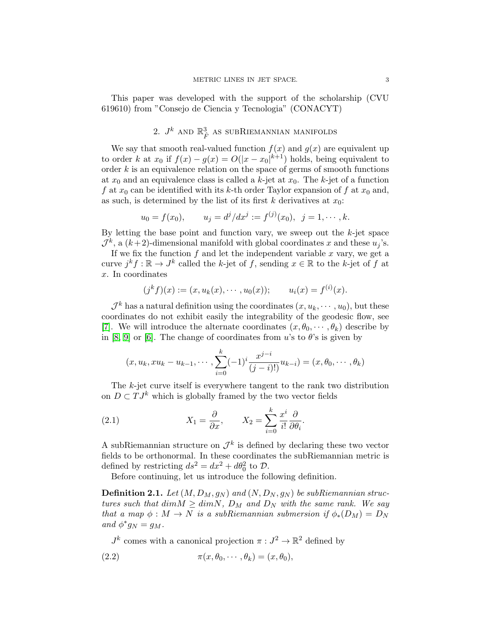This paper was developed with the support of the scholarship (CVU 619610) from "Consejo de Ciencia y Tecnologia" (CONACYT)

# 2.  $J^k$  and  $\mathbb{R}^3_{\hat F}$  as subRiemannian manifolds

<span id="page-2-0"></span>We say that smooth real-valued function  $f(x)$  and  $g(x)$  are equivalent up to order k at  $x_0$  if  $f(x) - g(x) = O(|x - x_0|^{k+1})$  holds, being equivalent to order  $k$  is an equivalence relation on the space of germs of smooth functions at  $x_0$  and an equivalence class is called a k-jet at  $x_0$ . The k-jet of a function f at  $x_0$  can be identified with its k-th order Taylor expansion of f at  $x_0$  and, as such, is determined by the list of its first k derivatives at  $x_0$ :

$$
u_0 = f(x_0),
$$
  $u_j = d^j/dx^j := f^{(j)}(x_0),$   $j = 1, \dots, k.$ 

By letting the base point and function vary, we sweep out the  $k$ -jet space  $\mathcal{J}^k$ , a  $(k+2)$ -dimensional manifold with global coordinates x and these  $u_j$ 's.

If we fix the function  $f$  and let the independent variable  $x$  vary, we get a curve  $j^k f : \mathbb{R} \to J^k$  called the k-jet of f, sending  $x \in \mathbb{R}$  to the k-jet of f at x. In coordinates

$$
(j^k f)(x) := (x, u_k(x), \cdots, u_0(x));
$$
  $u_i(x) = f^{(i)}(x).$ 

 $\mathcal{J}^k$  has a natural definition using the coordinates  $(x, u_k, \dots, u_0)$ , but these coordinates do not exhibit easily the integrability of the geodesic flow, see [\[7\]](#page-19-2). We will introduce the alternate coordinates  $(x, \theta_0, \dots, \theta_k)$  describe by in [\[8,](#page-19-3) [9\]](#page-19-4) or [\[6\]](#page-19-1). The change of coordinates from u's to  $\theta$ 's is given by

$$
(x, u_k, xu_k - u_{k-1}, \cdots, \sum_{i=0}^k (-1)^i \frac{x^{j-i}}{(j-i)!} u_{k-i}) = (x, \theta_0, \cdots, \theta_k)
$$

The k-jet curve itself is everywhere tangent to the rank two distribution on  $D \subset TJ^k$  which is globally framed by the two vector fields

(2.1) 
$$
X_1 = \frac{\partial}{\partial x}, \qquad X_2 = \sum_{i=0}^k \frac{x^i}{i!} \frac{\partial}{\partial \theta_i}.
$$

A subRiemannian structure on  $\mathcal{J}^k$  is defined by declaring these two vector fields to be orthonormal. In these coordinates the subRiemannian metric is defined by restricting  $ds^2 = dx^2 + d\theta_0^2$  to  $\mathcal{D}$ .

Before continuing, let us introduce the following definition.

**Definition 2.1.** Let  $(M, D_M, g_N)$  and  $(N, D_N, g_N)$  be subRiemannian structures such that dim $M \geq dim N$ ,  $D_M$  and  $D_N$  with the same rank. We say that a map  $\phi : M \to N$  is a subRiemannian submersion if  $\phi_*(D_M) = D_N$ and  $\phi^* g_N = g_M$ .

 $J^k$  comes with a canonical projection  $\pi: J^2 \to \mathbb{R}^2$  defined by

(2.2) 
$$
\pi(x, \theta_0, \cdots, \theta_k) = (x, \theta_0),
$$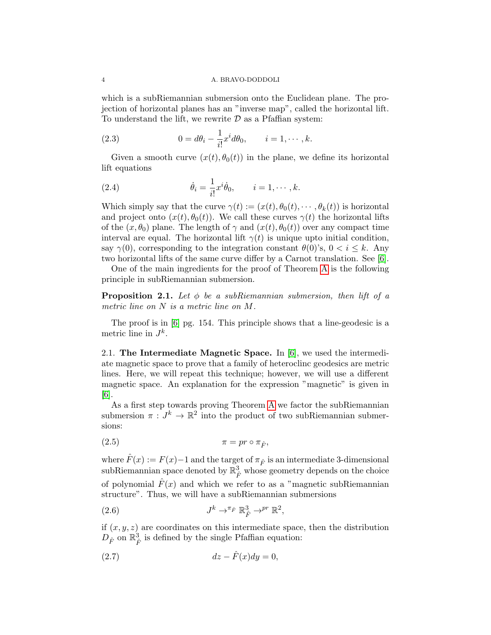which is a subRiemannian submersion onto the Euclidean plane. The projection of horizontal planes has an "inverse map", called the horizontal lift. To understand the lift, we rewrite  $D$  as a Pfaffian system:

(2.3) 
$$
0 = d\theta_i - \frac{1}{i!}x^id\theta_0, \qquad i = 1, \cdots, k.
$$

Given a smooth curve  $(x(t), \theta_0(t))$  in the plane, we define its horizontal lift equations

<span id="page-3-4"></span>(2.4) 
$$
\dot{\theta}_i = \frac{1}{i!} x^i \dot{\theta}_0, \qquad i = 1, \cdots, k.
$$

Which simply say that the curve  $\gamma(t) := (x(t), \theta_0(t), \cdots, \theta_k(t))$  is horizontal and project onto  $(x(t), \theta_0(t))$ . We call these curves  $\gamma(t)$  the horizontal lifts of the  $(x, \theta_0)$  plane. The length of  $\gamma$  and  $(x(t), \theta_0(t))$  over any compact time interval are equal. The horizontal lift  $\gamma(t)$  is unique upto initial condition, say  $\gamma(0)$ , corresponding to the integration constant  $\theta(0)$ 's,  $0 < i \leq k$ . Any two horizontal lifts of the same curve differ by a Carnot translation. See [\[6\]](#page-19-1).

One of the main ingredients for the proof of Theorem [A](#page-1-1) is the following principle in subRiemannian submersion.

<span id="page-3-0"></span>**Proposition 2.1.** Let  $\phi$  be a subRiemannian submersion, then lift of a metric line on N is a metric line on M.

The proof is in [\[6\]](#page-19-1) pg. 154. This principle shows that a line-geodesic is a metric line in  $J^k$ .

<span id="page-3-1"></span>2.1. The Intermediate Magnetic Space. In [\[6\]](#page-19-1), we used the intermediate magnetic space to prove that a family of heteroclinc geodesics are metric lines. Here, we will repeat this technique; however, we will use a different magnetic space. An explanation for the expression "magnetic" is given in [\[6\]](#page-19-1).

As a first step towards proving Theorem [A](#page-1-1) we factor the subRiemannian submersion  $\pi: J^k \to \mathbb{R}^2$  into the product of two subRiemannian submersions:

<span id="page-3-3"></span>
$$
\pi = pr \circ \pi_{\hat{F}},
$$

where  $\hat{F}(x) := F(x) - 1$  and the target of  $\pi_{\hat{F}}$  is an intermediate 3-dimensional subRiemannian space denoted by  $\mathbb{R}^3_{\hat{F}}$  whose geometry depends on the choice of polynomial  $F(x)$  and which we refer to as a "magnetic subRiemannian structure". Thus, we will have a subRiemannian submersions

(2.6) 
$$
J^k \to^{\pi_{\hat{F}}} \mathbb{R}_{\hat{F}}^3 \to^{pr} \mathbb{R}^2,
$$

if  $(x, y, z)$  are coordinates on this intermediate space, then the distribution  $D_{\hat{F}}$  on  $\mathbb{R}_{\hat{F}}^3$  is defined by the single Pfaffian equation:

<span id="page-3-2"></span>
$$
(2.7) \t dz - \hat{F}(x)dy = 0,
$$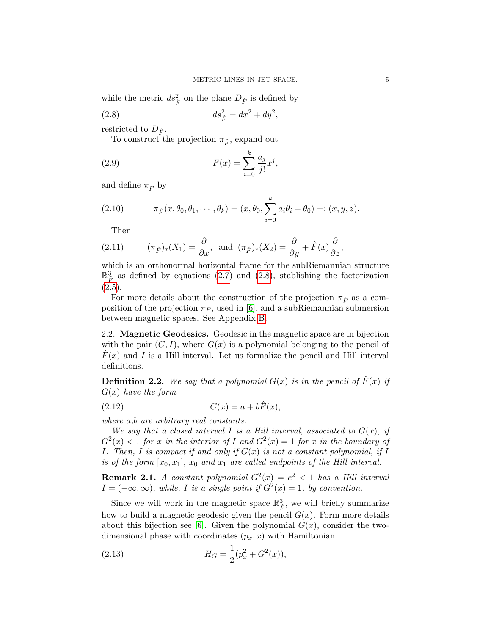while the metric  $ds_{\hat{F}}^2$  on the plane  $D_{\hat{F}}$  is defined by

(2.8) 
$$
ds_{\hat{F}}^2 = dx^2 + dy^2,
$$

restricted to  $D_{\hat{F}}$ .

<span id="page-4-1"></span>To construct the projection  $\pi_{\hat{F}}$ , expand out

(2.9) 
$$
F(x) = \sum_{i=0}^{k} \frac{a_j}{j!} x^j,
$$

and define  $\pi_{\hat{F}}$  by

(2.10) 
$$
\pi_{\hat{F}}(x,\theta_0,\theta_1,\cdots,\theta_k)=(x,\theta_0,\sum_{i=0}^k a_i\theta_i-\theta_0)=:(x,y,z).
$$

Then

(2.11) 
$$
(\pi_{\hat{F}})_*(X_1) = \frac{\partial}{\partial x}
$$
, and  $(\pi_{\hat{F}})_*(X_2) = \frac{\partial}{\partial y} + \hat{F}(x)\frac{\partial}{\partial z}$ ,

which is an orthonormal horizontal frame for the subRiemannian structure  $\mathbb{R}^3$  as defined by equations [\(2.7\)](#page-3-2) and [\(2.8\)](#page-4-1), stablishing the factorization  $(2.5).$  $(2.5).$ 

For more details about the construction of the projection  $\pi_{\hat{F}}$  as a composition of the projection  $\pi_F$ , used in [\[6\]](#page-19-1), and a subRiemannian submersion between magnetic spaces. See Appendix [B.](#page-16-1)

2.2. Magnetic Geodesics. Geodesic in the magnetic space are in bijection with the pair  $(G, I)$ , where  $G(x)$  is a polynomial belonging to the pencil of  $\hat{F}(x)$  and I is a Hill interval. Let us formalize the pencil and Hill interval definitions.

<span id="page-4-0"></span>**Definition 2.2.** We say that a polynomial  $G(x)$  is in the pencil of  $\hat{F}(x)$  if  $G(x)$  have the form

$$
(2.12)\qquad G(x) = a + b\hat{F}(x),
$$

where a,b are arbitrary real constants.

We say that a closed interval I is a Hill interval, associated to  $G(x)$ , if  $G<sup>2</sup>(x) < 1$  for x in the interior of I and  $G<sup>2</sup>(x) = 1$  for x in the boundary of I. Then, I is compact if and only if  $G(x)$  is not a constant polynomial, if I is of the form  $[x_0, x_1]$ ,  $x_0$  and  $x_1$  are called endpoints of the Hill interval.

**Remark 2.1.** A constant polynomial  $G^2(x) = c^2 < 1$  has a Hill interval  $I = (-\infty, \infty)$ , while, I is a single point if  $G^2(x) = 1$ , by convention.

Since we will work in the magnetic space  $\mathbb{R}^3_{\hat{F}}$ , we will briefly summarize how to build a magnetic geodesic given the pencil  $G(x)$ . Form more details about this bijection see [\[6\]](#page-19-1). Given the polynomial  $G(x)$ , consider the twodimensional phase with coordinates  $(p_x, x)$  with Hamiltonian

(2.13) 
$$
H_G = \frac{1}{2}(p_x^2 + G^2(x)),
$$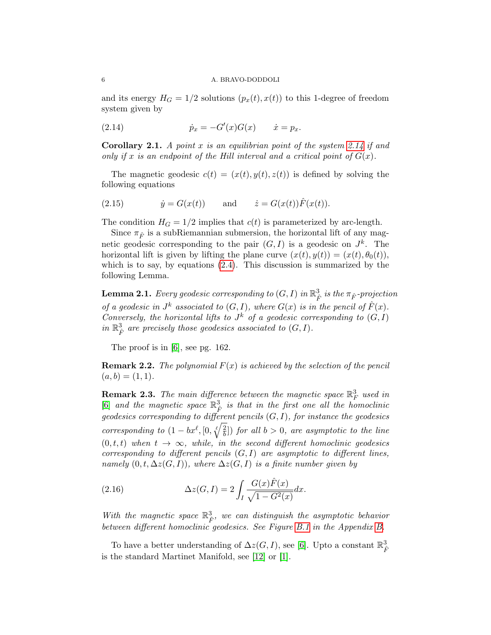and its energy  $H_G = 1/2$  solutions  $(p_x(t), x(t))$  to this 1-degree of freedom system given by

<span id="page-5-0"></span>(2.14)  $\dot{p}_x = -G'(x)G(x) \qquad \dot{x} = p_x.$ 

**Corollary 2.1.** A point  $x$  is an equilibrian point of the system [2.14](#page-5-0) if and only if x is an endpoint of the Hill interval and a critical point of  $G(x)$ .

The magnetic geodesic  $c(t) = (x(t), y(t), z(t))$  is defined by solving the following equations

<span id="page-5-2"></span>(2.15) 
$$
\dot{y} = G(x(t))
$$
 and  $\dot{z} = G(x(t))\hat{F}(x(t)).$ 

The condition  $H_G = 1/2$  implies that  $c(t)$  is parameterized by arc-length.

Since  $\pi_{\hat{F}}$  is a subRiemannian submersion, the horizontal lift of any magnetic geodesic corresponding to the pair  $(G, I)$  is a geodesic on  $J<sup>k</sup>$ . The horizontal lift is given by lifting the plane curve  $(x(t), y(t)) = (x(t), \theta_0(t)),$ which is to say, by equations [\(2.4\)](#page-3-4). This discussion is summarized by the following Lemma.

**Lemma 2.1.** Every geodesic corresponding to  $(G,I)$  in  $\mathbb{R}_{\hat{F}}^3$  is the  $\pi_{\hat{F}}$ -projection of a geodesic in  $J^k$  associated to  $(G, I)$ , where  $G(x)$  is in the pencil of  $\hat{F}(x)$ . Conversely, the horizontal lifts to  $J^k$  of a geodesic corresponding to  $(G, I)$ in  $\mathbb{R}^3_{\hat{F}}$  are precisely those geodesics associated to  $(G, I)$ .

The proof is in [\[6\]](#page-19-1), see pg. 162.

**Remark 2.2.** The polynomial  $F(x)$  is achieved by the selection of the pencil  $(a, b) = (1, 1).$ 

**Remark 2.3.** The main difference between the magnetic space  $\mathbb{R}_F^3$  used in [\[6\]](#page-19-1) and the magnetic space  $\mathbb{R}^3$  is that in the first one all the homoclinic geodesics corresponding to different pencils  $(G, I)$ , for instance the geodesics corresponding to  $(1 - bx^{\ell}, [0, \sqrt{\frac{2}{h}}])$  $\left(\frac{2}{b}\right]$ ) for all  $b > 0$ , are asymptotic to the line  $(0, t, t)$  when  $t \to \infty$ , while, in the second different homoclinic geodesics corresponding to different pencils  $(G, I)$  are asymptotic to different lines, namely  $(0, t, \Delta z(G, I))$ , where  $\Delta z(G, I)$  is a finite number given by

<span id="page-5-1"></span>(2.16) 
$$
\Delta z(G, I) = 2 \int_{I} \frac{G(x)\hat{F}(x)}{\sqrt{1 - G^2(x)}} dx.
$$

With the magnetic space  $\mathbb{R}^3_{\hat{F}}$ , we can distinguish the asymptotic behavior between different homoclinic geodesics. See Figure [B.1](#page-17-0) in the Appendix [B.](#page-16-1)

To have a better understanding of  $\Delta z(G, I)$ , see [\[6\]](#page-19-1). Upto a constant  $\mathbb{R}^3_{\hat{F}}$ is the standard Martinet Manifold, see [\[12\]](#page-19-9) or [\[1\]](#page-19-10).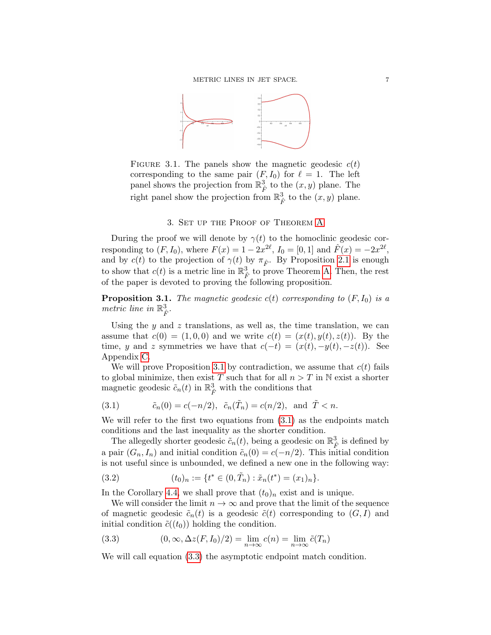

<span id="page-6-4"></span>FIGURE 3.1. The panels show the magnetic geodesic  $c(t)$ corresponding to the same pair  $(F, I_0)$  for  $\ell = 1$ . The left panel shows the projection from  $\mathbb{R}^3_{\hat{F}}$  to the  $(x, y)$  plane. The right panel show the projection from  $\mathbb{R}_{\hat{F}}^3$  to the  $(x, y)$  plane.

## 3. Set up the Proof of Theorem [A](#page-1-1)

<span id="page-6-0"></span>During the proof we will denote by  $\gamma(t)$  to the homoclinic geodesic corresponding to  $(F, I_0)$ , where  $F(x) = 1 - 2x^{2\ell}$ ,  $I_0 = [0, 1]$  and  $\hat{F}(x) = -2x^{2\ell}$ , and by  $c(t)$  to the projection of  $\gamma(t)$  by  $\pi_{\hat{F}}$ . By Proposition [2.1](#page-3-0) is enough to show that  $c(t)$  is a metric line in  $\mathbb{R}^3$  to prove Theorem [A.](#page-1-1) Then, the rest of the paper is devoted to proving the following proposition.

<span id="page-6-1"></span>**Proposition 3.1.** The magnetic geodesic  $c(t)$  corresponding to  $(F, I_0)$  is a metric line in  $\mathbb{R}^3_{\hat{F}}$ .

Using the  $y$  and  $z$  translations, as well as, the time translation, we can assume that  $c(0) = (1, 0, 0)$  and we write  $c(t) = (x(t), y(t), z(t))$ . By the time, y and z symmetries we have that  $c(-t) = (x(t), -y(t), -z(t))$ . See Appendix [C.](#page-17-1)

We will prove Proposition [3.1](#page-6-1) by contradiction, we assume that  $c(t)$  fails to global minimize, then exist T such that for all  $n > T$  in N exist a shorter magnetic geodesic  $\tilde{c}_n(t)$  in  $\mathbb{R}^3_{\hat{F}}$  with the conditions that

<span id="page-6-2"></span>(3.1) 
$$
\tilde{c}_n(0) = c(-n/2), \ \tilde{c}_n(\tilde{T}_n) = c(n/2), \text{ and } \tilde{T} < n.
$$

We will refer to the first two equations from  $(3.1)$  as the endpoints match conditions and the last inequality as the shorter condition.

The allegedly shorter geodesic  $\tilde{c}_n(t)$ , being a geodesic on  $\mathbb{R}_{\hat{F}}^3$  is defined by a pair  $(G_n, I_n)$  and initial condition  $\tilde{c}_n(0) = c(-n/2)$ . This initial condition is not useful since is unbounded, we defined a new one in the following way:

<span id="page-6-5"></span>(3.2) 
$$
(t_0)_n := \{ t^* \in (0, \tilde{T}_n) : \tilde{x}_n(t^*) = (x_1)_n \}.
$$

In the Corollary [4.4,](#page-11-0) we shall prove that  $(t_0)_n$  exist and is unique.

We will consider the limit  $n \to \infty$  and prove that the limit of the sequence of magnetic geodesic  $\tilde{c}_n(t)$  is a geodesic  $\tilde{c}(t)$  corresponding to  $(G, I)$  and initial condition  $\tilde{c}((t_0))$  holding the condition.

<span id="page-6-3"></span>(3.3) 
$$
(0, \infty, \Delta z(F, I_0)/2) = \lim_{n \to \infty} c(n) = \lim_{n \to \infty} \tilde{c}(T_n)
$$

We will call equation  $(3.3)$  the asymptotic endpoint match condition.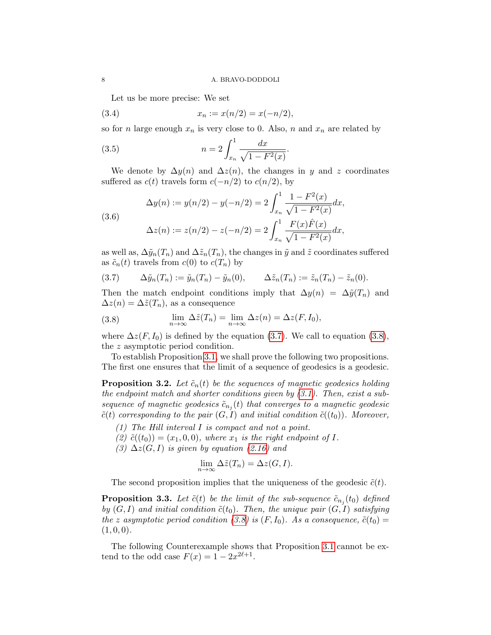Let us be more precise: We set

(3.4) 
$$
x_n := x(n/2) = x(-n/2),
$$

so for n large enough  $x_n$  is very close to 0. Also, n and  $x_n$  are related by

<span id="page-7-4"></span>(3.5) 
$$
n = 2 \int_{x_n}^{1} \frac{dx}{\sqrt{1 - F^2(x)}}.
$$

We denote by  $\Delta y(n)$  and  $\Delta z(n)$ , the changes in y and z coordinates suffered as  $c(t)$  travels form  $c(-n/2)$  to  $c(n/2)$ , by

<span id="page-7-5"></span>(3.6)  
\n
$$
\Delta y(n) := y(n/2) - y(-n/2) = 2 \int_{x_n}^1 \frac{1 - F^2(x)}{\sqrt{1 - F^2(x)}} dx,
$$
\n
$$
\Delta z(n) := z(n/2) - z(-n/2) = 2 \int_{x_n}^1 \frac{F(x)\hat{F}(x)}{\sqrt{1 - F^2(x)}} dx,
$$

as well as,  $\Delta \tilde{y}_n(T_n)$  and  $\Delta \tilde{z}_n(T_n)$ , the changes in  $\tilde{y}$  and  $\tilde{z}$  coordinates suffered as  $\tilde{c}_n(t)$  travels from  $c(0)$  to  $c(T_n)$  by

<span id="page-7-2"></span>
$$
(3.7) \qquad \Delta \tilde{y}_n(T_n) := \tilde{y}_n(T_n) - \tilde{y}_n(0), \qquad \Delta \tilde{z}_n(T_n) := \tilde{z}_n(T_n) - \tilde{z}_n(0).
$$

Then the match endpoint conditions imply that  $\Delta y(n) = \Delta \tilde{y}(T_n)$  and  $\Delta z(n) = \Delta \tilde{z}(T_n)$ , as a consequence

<span id="page-7-3"></span>(3.8) 
$$
\lim_{n \to \infty} \Delta \tilde{z}(T_n) = \lim_{n \to \infty} \Delta z(n) = \Delta z(F, I_0),
$$

where  $\Delta z(F, I_0)$  is defined by the equation [\(3.7\)](#page-7-2). We call to equation [\(3.8\)](#page-7-3), the z asymptotic period condition.

To establish Proposition [3.1,](#page-6-1) we shall prove the following two propositions. The first one ensures that the limit of a sequence of geodesics is a geodesic.

<span id="page-7-0"></span>**Proposition 3.2.** Let  $\tilde{c}_n(t)$  be the sequences of magnetic geodesics holding the endpoint match and shorter conditions given by [\(3.1\)](#page-6-2). Then, exist a subsequence of magnetic geodesics  $\tilde{c}_{n_j}(t)$  that converges to a magnetic geodesic  $\tilde{c}(t)$  corresponding to the pair  $(G, I)$  and initial condition  $\tilde{c}((t_0))$ . Moreover,

- (1) The Hill interval I is compact and not a point.
- (2)  $\tilde{c}((t_0)) = (x_1, 0, 0)$ , where  $x_1$  is the right endpoint of I.
- (3)  $\Delta z(G, I)$  is given by equation [\(2.16\)](#page-5-1) and

$$
\lim_{n \to \infty} \Delta \tilde{z}(T_n) = \Delta z(G, I).
$$

The second proposition implies that the uniqueness of the geodesic  $\tilde{c}(t)$ .

<span id="page-7-1"></span>**Proposition 3.3.** Let  $\tilde{c}(t)$  be the limit of the sub-sequence  $\tilde{c}_{n_j}(t_0)$  defined by  $(G, I)$  and initial condition  $\tilde{c}(t_0)$ . Then, the unique pair  $(G, I)$  satisfying the z asymptotic period condition [\(3.8\)](#page-7-3) is  $(F, I_0)$ . As a consequence,  $\tilde{c}(t_0)$  =  $(1, 0, 0).$ 

The following Counterexample shows that Proposition [3.1](#page-6-1) cannot be extend to the odd case  $F(x) = 1 - 2x^{2\ell+1}$ .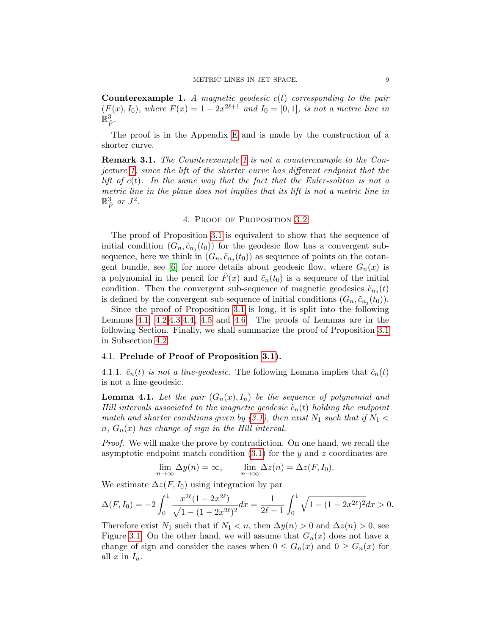<span id="page-8-1"></span>**Counterexample 1.** A magnetic geodesic  $c(t)$  corresponding to the pair  $(F(x), I_0)$ , where  $F(x) = 1 - 2x^{2\ell+1}$  and  $I_0 = [0, 1]$ , is not a metric line in  $\mathbb{\bar{R}}_{\hat{F}}^3$  .

The proof is in the Appendix [E](#page-18-0) and is made by the construction of a shorter curve.

Remark 3.1. The Counterexample [1](#page-8-1) is not a counterexample to the Conjecture [1,](#page-1-0) since the lift of the shorter curve has different endpoint that the lift of  $c(t)$ . In the same way that the fact that the Euler-soliton is not a metric line in the plane does not implies that its lift is not a metric line in  $\mathbb{R}^3_{\hat{F}}$  or  $J^2$ .

#### 4. Proof of Proposition [3.2](#page-7-0)

<span id="page-8-0"></span>The proof of Proposition [3.1](#page-6-1) is equivalent to show that the sequence of initial condition  $(G_n, \tilde{c}_{n_j}(t_0))$  for the geodesic flow has a convergent subsequence, here we think in  $(G_n, \tilde{c}_{n_j}(t_0))$  as sequence of points on the cotan-gent bundle, see [\[6\]](#page-19-1) for more details about geodesic flow, where  $G_n(x)$  is a polynomial in the pencil for  $F(x)$  and  $\tilde{c}_n(t_0)$  is a sequence of the initial condition. Then the convergent sub-sequence of magnetic geodesics  $\tilde{c}_{n_j}(t)$ is defined by the convergent sub-sequence of initial conditions  $(G_n, \tilde{c}_{n_j}(t_0)).$ 

Since the proof of Proposition [3.1](#page-6-1) is long, it is split into the following Lemmas [4.1,](#page-8-2) [4.2,](#page-10-0)[4.3,](#page-10-1)[4.4,](#page-12-0) [4.5](#page-12-1) and [4.6.](#page-13-0) The proofs of Lemmas are in the following Section. Finally, we shall summarize the proof of Proposition [3.1](#page-6-1) in Subsection [4.2.](#page-14-1)

## 4.1. Prelude of Proof of Proposition [3.1\)](#page-6-1).

4.1.1.  $\tilde{c}_n(t)$  is not a line-geodesic. The following Lemma implies that  $\tilde{c}_n(t)$ is not a line-geodesic.

<span id="page-8-2"></span>**Lemma 4.1.** Let the pair  $(G_n(x), I_n)$  be the sequence of polynomial and Hill intervals associated to the magnetic geodesic  $\tilde{c}_n(t)$  holding the endpoint match and shorter conditions given by [\(3.1\)](#page-6-2), then exist  $N_1$  such that if  $N_1$  <  $n, G_n(x)$  has change of sign in the Hill interval.

Proof. We will make the prove by contradiction. On one hand, we recall the asymptotic endpoint match condition  $(3.1)$  for the y and z coordinates are

$$
\lim_{n \to \infty} \Delta y(n) = \infty, \qquad \lim_{n \to \infty} \Delta z(n) = \Delta z(F, I_0).
$$

We estimate  $\Delta z(F, I_0)$  using integration by par

$$
\Delta(F, I_0) = -2 \int_0^1 \frac{x^{2\ell} (1 - 2x^{2\ell})}{\sqrt{1 - (1 - 2x^{2\ell})^2}} dx = \frac{1}{2\ell - 1} \int_0^1 \sqrt{1 - (1 - 2x^{2\ell})^2} dx > 0.
$$

Therefore exist  $N_1$  such that if  $N_1 < n$ , then  $\Delta y(n) > 0$  and  $\Delta z(n) > 0$ , see Figure [3.1.](#page-6-4) On the other hand, we will assume that  $G_n(x)$  does not have a change of sign and consider the cases when  $0 \leq G_n(x)$  and  $0 \geq G_n(x)$  for all  $x$  in  $I_n$ .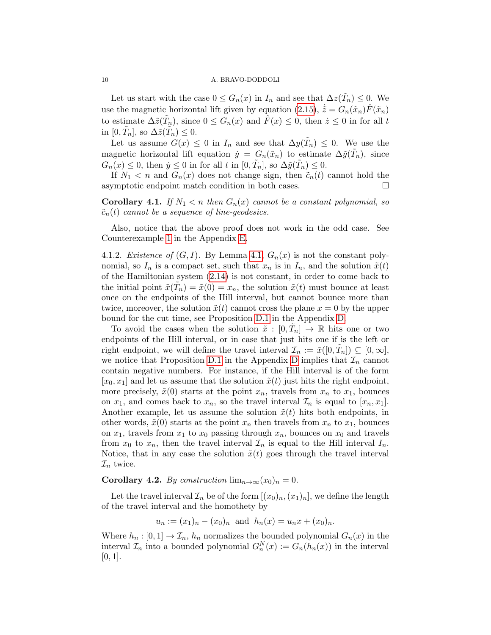Let us start with the case  $0 \le G_n(x)$  in  $I_n$  and see that  $\Delta z(\tilde{T}_n) \le 0$ . We use the magnetic horizontal lift given by equation [\(2.15\)](#page-5-2),  $\dot{\tilde{z}} = G_n(\tilde{x}_n)\tilde{F}(\tilde{x}_n)$ to estimate  $\Delta \tilde{z}(\tilde{T}_n)$ , since  $0 \leq G_n(x)$  and  $\hat{F}(x) \leq 0$ , then  $\dot{z} \leq 0$  in for all t in  $[0, \tilde{T}_n]$ , so  $\Delta \tilde{z}(\tilde{T}_n) \leq 0$ .

Let us assume  $G(x) \leq 0$  in  $I_n$  and see that  $\Delta y(\tilde{T}_n) \leq 0$ . We use the magnetic horizontal lift equation  $\dot{y} = G_n(\tilde{x}_n)$  to estimate  $\Delta \tilde{y}(\tilde{T}_n)$ , since  $G_n(x) \leq 0$ , then  $\dot{y} \leq 0$  in for all t in  $[0, \tilde{T}_n]$ , so  $\Delta \tilde{y}(\tilde{T}_n) \leq 0$ .

If  $N_1 < n$  and  $G_n(x)$  does not change sign, then  $\tilde{c}_n(t)$  cannot hold the asymptotic endpoint match condition in both cases.

**Corollary 4.1.** If  $N_1 < n$  then  $G_n(x)$  cannot be a constant polynomial, so  $\tilde{c}_n(t)$  cannot be a sequence of line-geodesics.

Also, notice that the above proof does not work in the odd case. See Counterexample [1](#page-8-1) in the Appendix [E.](#page-18-0)

4.1.2. Existence of  $(G, I)$ . By Lemma [4.1,](#page-8-2)  $G_n(x)$  is not the constant polynomial, so  $I_n$  is a compact set, such that  $x_n$  is in  $I_n$ , and the solution  $\tilde{x}(t)$ of the Hamiltonian system [\(2.14\)](#page-5-0) is not constant, in order to come back to the initial point  $\tilde{x}(\tilde{T}_n) = \tilde{x}(0) = x_n$ , the solution  $\tilde{x}(t)$  must bounce at least once on the endpoints of the Hill interval, but cannot bounce more than twice, moreover, the solution  $\tilde{x}(t)$  cannot cross the plane  $x = 0$  by the upper bound for the cut time, see Proposition [D.1](#page-17-2) in the Appendix [D.](#page-17-3)

To avoid the cases when the solution  $\tilde{x} : [0, \tilde{T}_n] \to \mathbb{R}$  hits one or two endpoints of the Hill interval, or in case that just hits one if is the left or right endpoint, we will define the travel interval  $\mathcal{I}_n := \tilde{x}([0, \tilde{T}_n]) \subseteq [0, \infty],$ we notice that Proposition [D.1](#page-17-2) in the Appendix [D](#page-17-3) implies that  $\mathcal{I}_n$  cannot contain negative numbers. For instance, if the Hill interval is of the form  $[x_0, x_1]$  and let us assume that the solution  $\tilde{x}(t)$  just hits the right endpoint, more precisely,  $\tilde{x}(0)$  starts at the point  $x_n$ , travels from  $x_n$  to  $x_1$ , bounces on  $x_1$ , and comes back to  $x_n$ , so the travel interval  $\mathcal{I}_n$  is equal to  $[x_n, x_1]$ . Another example, let us assume the solution  $\tilde{x}(t)$  hits both endpoints, in other words,  $\tilde{x}(0)$  starts at the point  $x_n$  then travels from  $x_n$  to  $x_1$ , bounces on  $x_1$ , travels from  $x_1$  to  $x_0$  passing through  $x_n$ , bounces on  $x_0$  and travels from  $x_0$  to  $x_n$ , then the travel interval  $\mathcal{I}_n$  is equal to the Hill interval  $I_n$ . Notice, that in any case the solution  $\tilde{x}(t)$  goes through the travel interval  $\mathcal{I}_n$  twice.

## <span id="page-9-0"></span>Corollary 4.2. By construction  $\lim_{n\to\infty}(x_0)_n=0$ .

Let the travel interval  $\mathcal{I}_n$  be of the form  $[(x_0)_n,(x_1)_n]$ , we define the length of the travel interval and the homothety by

$$
u_n := (x_1)_n - (x_0)_n
$$
 and  $h_n(x) = u_n x + (x_0)_n$ .

Where  $h_n : [0,1] \to \mathcal{I}_n$ ,  $h_n$  normalizes the bounded polynomial  $G_n(x)$  in the interval  $\mathcal{I}_n$  into a bounded polynomial  $G_n^N(x) := G_n(h_n(x))$  in the interval  $[0, 1]$ .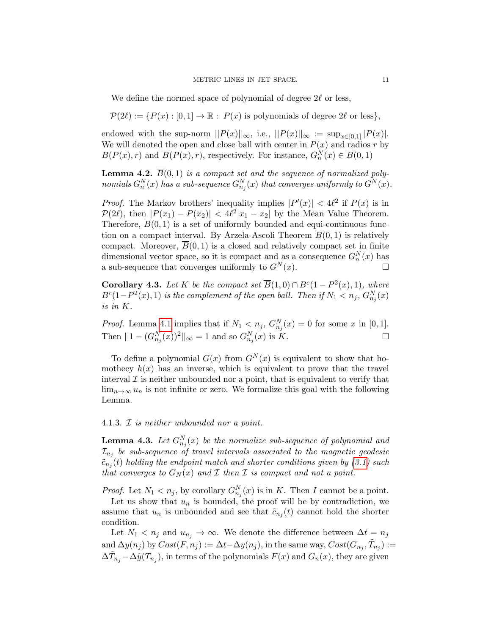We define the normed space of polynomial of degree  $2\ell$  or less,

 $\mathcal{P}(2\ell) := \{P(x) : [0, 1] \to \mathbb{R} : P(x) \text{ is polynomials of degree } 2\ell \text{ or less} \},\$ 

endowed with the sup-norm  $||P(x)||_{\infty}$ , i.e.,  $||P(x)||_{\infty} := \sup_{x \in [0,1]} |P(x)|$ . We will denoted the open and close ball with center in  $P(x)$  and radios r by  $B(P(x), r)$  and  $\overline{B}(P(x), r)$ , respectively. For instance,  $G_n^N(x) \in \overline{B}(0, 1)$ 

<span id="page-10-0"></span>**Lemma 4.2.**  $\overline{B}(0,1)$  is a compact set and the sequence of normalized polynomials  $G_n^N(x)$  has a sub-sequence  $G_{n_j}^N(x)$  that converges uniformly to  $G^N(x)$ .

*Proof.* The Markov brothers' inequality implies  $|P'(x)| < 4\ell^2$  if  $P(x)$  is in  $\mathcal{P}(2\ell)$ , then  $|P(x_1) - P(x_2)| < 4\ell^2 |x_1 - x_2|$  by the Mean Value Theorem. Therefore,  $\overline{B}(0,1)$  is a set of uniformly bounded and equi-continuous function on a compact interval. By Arzela-Ascoli Theorem  $B(0, 1)$  is relatively compact. Moreover,  $B(0, 1)$  is a closed and relatively compact set in finite dimensional vector space, so it is compact and as a consequence  $G_n^N(x)$  has a sub-sequence that converges uniformly to  $G^N(x)$ .

<span id="page-10-2"></span>**Corollary 4.3.** Let K be the compact set  $\overline{B}(1,0) \cap B^c(1-P^2(x),1)$ , where  $B<sup>c</sup>(1-P<sup>2</sup>(x),1)$  is the complement of the open ball. Then if  $N_1 < n_j$ ,  $G_{n_j}^N(x)$ is in K.

*Proof.* Lemma [4.1](#page-8-2) implies that if  $N_1 < n_j$ ,  $G_{n_j}^N(x) = 0$  for some x in [0, 1]. Then  $||1 - (G_{n_j}^N(x))^2||_{\infty} = 1$  and so  $G_{n_j}^N(x)$  is K.

To define a polynomial  $G(x)$  from  $G^{N}(x)$  is equivalent to show that homothecy  $h(x)$  has an inverse, which is equivalent to prove that the travel interval  $\mathcal I$  is neither unbounded nor a point, that is equivalent to verify that  $\lim_{n\to\infty}u_n$  is not infinite or zero. We formalize this goal with the following Lemma.

## 4.1.3. I is neither unbounded nor a point.

<span id="page-10-1"></span>**Lemma 4.3.** Let  $G_{n_j}^N(x)$  be the normalize sub-sequence of polynomial and  $\mathcal{I}_{n_j}$  be sub-sequence of travel intervals associated to the magnetic geodesic  $\tilde{c}_{n_j}(t)$  holding the endpoint match and shorter conditions given by  $(3.1)$  such that converges to  $G_N(x)$  and  $\mathcal I$  then  $\mathcal I$  is compact and not a point.

*Proof.* Let  $N_1 < n_j$ , by corollary  $G_{n_j}^N(x)$  is in K. Then I cannot be a point.

Let us show that  $u_n$  is bounded, the proof will be by contradiction, we assume that  $u_n$  is unbounded and see that  $\tilde{c}_{n_j}(t)$  cannot hold the shorter condition.

Let  $N_1 < n_j$  and  $u_{n_j} \to \infty$ . We denote the difference between  $\Delta t = n_j$ and  $\Delta y(n_j)$  by  $Cost(F, n_j) := \Delta t - \Delta y(n_j)$ , in the same way,  $Cost(G_{n_j}, \tilde{T}_{n_j}) :=$  $\Delta \tilde{T}_{n_j} - \Delta \tilde{y}(T_{n_j}),$  in terms of the polynomials  $F(x)$  and  $G_n(x)$ , they are given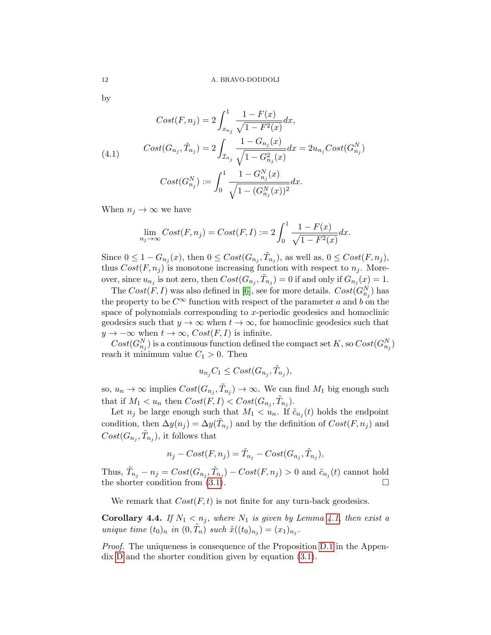by

$$
Cost(F, n_j) = 2 \int_{x_{n_j}}^1 \frac{1 - F(x)}{\sqrt{1 - F^2(x)}} dx,
$$
  
(4.1) 
$$
Cost(G_{n_j}, \tilde{T}_{n_j}) = 2 \int_{\mathcal{I}_{n_j}} \frac{1 - G_{n_j}(x)}{\sqrt{1 - G_{n_j}^2(x)}} dx = 2u_{n_j} Cost(G_{n_j}^N)
$$

$$
Cost(G_{n_j}^N) := \int_0^1 \frac{1 - G_{n_j}^N(x)}{\sqrt{1 - (G_{n_j}^N(x))^2}} dx.
$$

When  $n_j \to \infty$  we have

$$
\lim_{n_j \to \infty} Cost(F, n_j) = Cost(F, I) := 2 \int_0^1 \frac{1 - F(x)}{\sqrt{1 - F^2(x)}} dx.
$$

Since  $0 \leq 1 - G_{n_j}(x)$ , then  $0 \leq Cost(G_{n_j}, \tilde{T}_{n_j})$ , as well as,  $0 \leq Cost(F, n_j)$ , thus  $Cost(F, n<sub>j</sub>)$  is monotone increasing function with respect to  $n<sub>j</sub>$ . Moreover, since  $u_{n_j}$  is not zero, then  $Cost(G_{n_j}, \tilde{T}_{n_j}) = 0$  if and only if  $G_{n_j}(x) = 1$ .

The  $Cost(F, I)$  was also defined in [\[6\]](#page-19-1), see for more details.  $Cost(G_{n_j}^N)$  has the property to be  $C^{\infty}$  function with respect of the parameter a and b on the space of polynomials corresponding to  $x$ -periodic geodesics and homoclinic geodesics such that  $y \to \infty$  when  $t \to \infty$ , for homoclinic geodesics such that  $y \to -\infty$  when  $t \to \infty$ ,  $Cost(F, I)$  is infinite.

 $Cost(G_{n_j}^N)$  is a continuous function defined the compact set K, so  $Cost(G_{n_j}^N)$ reach it minimum value  $C_1 > 0$ . Then

$$
u_{n_j}C_1 \le Cost(G_{n_j}, \tilde{T}_{n_j}),
$$

so,  $u_n \to \infty$  implies  $Cost(G_{n_j}, \tilde{T}_{n_j}) \to \infty$ . We can find  $M_1$  big enough such that if  $M_1 < u_n$  then  $Cost(F, I) < Cost(G_{n_j}, \tilde{T}_{n_j}).$ 

Let  $n_j$  be large enough such that  $M_1 < u_n$ . If  $\tilde{c}_{n_j}(t)$  holds the endpoint condition, then  $\Delta y(n_j) = \Delta y(\tilde{T}_{n_j})$  and by the definition of  $Cost(F, n_j)$  and  $Cost(G_{n_j}, \tilde{T}_{n_j}),$  it follows that

$$
n_j - Cost(F, n_j) = \tilde{T}_{n_j} - Cost(G_{n_j}, \tilde{T}_{n_j}),
$$

Thus,  $\tilde{T}_{n_j} - n_j = Cost(G_{n_j}, \tilde{T}_{n_j}) - Cost(F, n_j) > 0$  and  $\tilde{c}_{n_j}(t)$  cannot hold the shorter condition from [\(3.1\)](#page-6-2).

We remark that  $Cost(F, t)$  is not finite for any turn-back geodesics.

<span id="page-11-0"></span>**Corollary 4.4.** If  $N_1 < n_j$ , where  $N_1$  is given by Lemma [4.1,](#page-8-2) then exist a unique time  $(t_0)_n$  in  $(0,\tilde{T}_n)$  such  $\tilde{x}((t_0)_{n_j}) = (x_1)_{n_j}$ .

Proof. The uniqueness is consequence of the Proposition [D.1](#page-17-2) in the Appendix [D](#page-17-3) and the shorter condition given by equation [\(3.1\)](#page-6-2).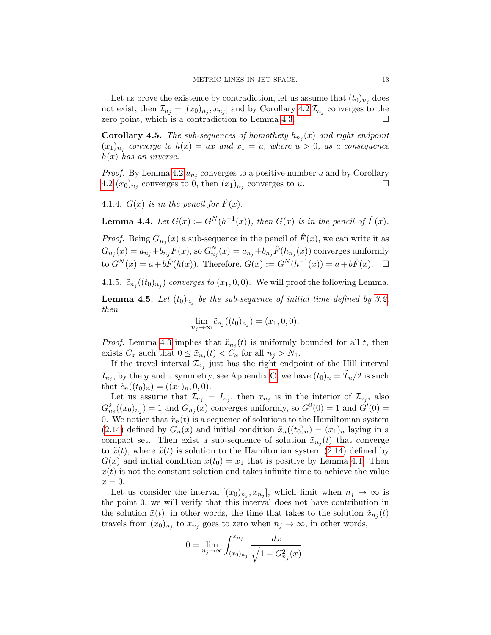Let us prove the existence by contradiction, let us assume that  $(t_0)_{n_i}$  does not exist, then  $\mathcal{I}_{n_j} = [(x_0)_{n_j}, x_{n_j}]$  and by Corollary [4.2](#page-9-0)  $\mathcal{I}_{n_j}$  converges to the zero point, which is a contradiction to Lemma [4.3.](#page-10-1)

**Corollary 4.5.** The sub-sequences of homothety  $h_{n_j}(x)$  and right endpoint  $(x_1)_{n_j}$  converge to  $h(x) = ux$  and  $x_1 = u$ , where  $u > 0$ , as a consequence  $h(x)$  has an inverse.

*Proof.* By Lemma [4.2](#page-10-0)  $u_{n_j}$  converges to a positive number u and by Corollary [4.2](#page-9-0)  $(x_0)_{n_j}$  converges to 0, then  $(x_1)_{n_j}$  converges to u.

4.1.4.  $G(x)$  is in the pencil for  $\hat{F}(x)$ .

<span id="page-12-0"></span>**Lemma 4.4.** Let  $G(x) := G^N(h^{-1}(x))$ , then  $G(x)$  is in the pencil of  $\hat{F}(x)$ .

*Proof.* Being  $G_{n_j}(x)$  a sub-sequence in the pencil of  $\hat{F}(x)$ , we can write it as  $G_{n_j}(x) = a_{n_j} + b_{n_j} \hat{F}(x)$ , so  $G_{n_j}^N(x) = a_{n_j} + b_{n_j} \hat{F}(h_{n_j}(x))$  converges uniformly to  $G^{N}(x) = a + b\hat{F}(h(x))$ . Therefore,  $G(x) := G^{N}(h^{-1}(x)) = a + b\hat{F}(x)$ .  $\Box$ 

4.1.5.  $\tilde{c}_{n_j}((t_0)_{n_j})$  converges to  $(x_1, 0, 0)$ . We will proof the following Lemma.

<span id="page-12-1"></span>**Lemma 4.5.** Let  $(t_0)_{n_j}$  be the sub-sequence of initial time defined by [3.2,](#page-6-5) then

$$
\lim_{n_j \to \infty} \tilde{c}_{n_j}((t_0)_{n_j}) = (x_1, 0, 0).
$$

*Proof.* Lemma [4.3](#page-10-1) implies that  $\tilde{x}_{n_j}(t)$  is uniformly bounded for all t, then exists  $C_x$  such that  $0 \leq \tilde{x}_{n_j}(t) < C_x$  for all  $n_j > N_1$ .

If the travel interval  $\mathcal{I}_{n_j}$  just has the right endpoint of the Hill interval  $I_{n_j}$ , by the y and z symmetry, see Appendix [C,](#page-17-1) we have  $(t_0)_n = \tilde{T}_n/2$  is such that  $\tilde{c}_n((t_0)_n) = ((x_1)_n, 0, 0).$ 

Let us assume that  $\mathcal{I}_{n_j} = I_{n_j}$ , then  $x_{n_j}$  is in the interior of  $\mathcal{I}_{n_j}$ , also  $G_{n_j}^2((x_0)_{n_j}) = 1$  and  $G_{n_j}(x)$  converges uniformly, so  $G^2(0) = 1$  and  $G'(0) = 1$ 0. We notice that  $\tilde{x}_n(t)$  is a sequence of solutions to the Hamiltonian system [\(2.14\)](#page-5-0) defined by  $G_n(x)$  and initial condition  $\tilde{x}_n((t_0)_n) = (x_1)_n$  laying in a compact set. Then exist a sub-sequence of solution  $\tilde{x}_{n_j}(t)$  that converge to  $\tilde{x}(t)$ , where  $\tilde{x}(t)$  is solution to the Hamiltonian system [\(2.14\)](#page-5-0) defined by  $G(x)$  and initial condition  $\tilde{x}(t_0) = x_1$  that is positive by Lemma [4.1.](#page-8-2) Then  $x(t)$  is not the constant solution and takes infinite time to achieve the value  $x=0.$ 

Let us consider the interval  $[(x_0)_{n_j}, x_{n_j}]$ , which limit when  $n_j \to \infty$  is the point 0, we will verify that this interval does not have contribution in the solution  $\tilde{x}(t)$ , in other words, the time that takes to the solution  $\tilde{x}_{n_j}(t)$ travels from  $(x_0)_{n_j}$  to  $x_{n_j}$  goes to zero when  $n_j \to \infty$ , in other words,

$$
0 = \lim_{n_j \to \infty} \int_{(x_0)_{n_j}}^{x_{n_j}} \frac{dx}{\sqrt{1 - G_{n_j}^2(x)}}.
$$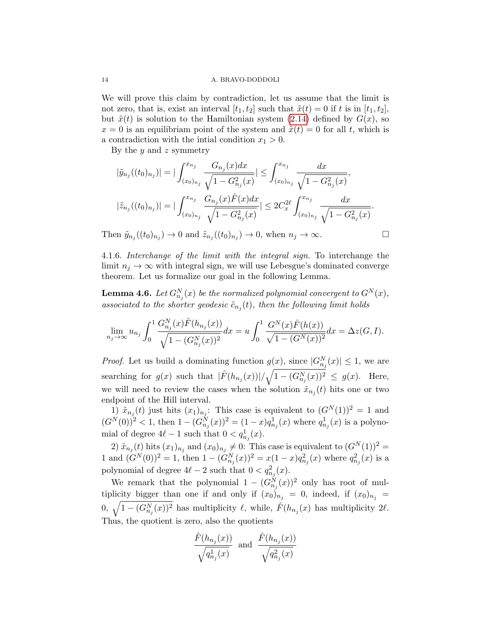We will prove this claim by contradiction, let us assume that the limit is not zero, that is, exist an interval  $[t_1, t_2]$  such that  $\tilde{x}(t) = 0$  if t is in  $[t_1, t_2]$ , but  $\tilde{x}(t)$  is solution to the Hamiltonian system [\(2.14\)](#page-5-0) defined by  $G(x)$ , so  $x = 0$  is an equilibriam point of the system and  $\tilde{x}(t) = 0$  for all t, which is a contradiction with the initial condition  $x_1 > 0$ .

By the  $y$  and  $z$  symmetry

$$
|\tilde{y}_{n_j}((t_0)_{n_j})| = |\int_{(x_0)_{n_j}}^{x_{n_j}} \frac{G_{n_j}(x)dx}{\sqrt{1 - G_{n_j}^2(x)}}| \le \int_{(x_0)_{n_j}}^{x_{n_j}} \frac{dx}{\sqrt{1 - G_{n_j}^2(x)}},
$$
  

$$
|\tilde{z}_{n_j}((t_0)_{n_j})| = |\int_{(x_0)_{n_j}}^{x_{n_j}} \frac{G_{n_j}(x)\hat{F}(x)dx}{\sqrt{1 - G_{n_j}^2(x)}}| \le 2C_x^{2\ell} \int_{(x_0)_{n_j}}^{x_{n_j}} \frac{dx}{\sqrt{1 - G_{n_j}^2(x)}}.
$$

Then  $\tilde{y}_{n_j}((t_0)_{n_j}) \to 0$  and  $\tilde{z}_{n_j}((t_0)_{n_j}) \to 0$ , when  $n_j \to \infty$ .

4.1.6. Interchange of the limit with the integral sign. To interchange the limit  $n_i \to \infty$  with integral sign, we will use Lebesgue's dominated converge theorem. Let us formalize our goal in the following Lemma.

<span id="page-13-0"></span>**Lemma 4.6.** Let  $G_{n_j}^N(x)$  be the normalized polynomial convergent to  $G^N(x)$ , associated to the shorter geodesic  $\tilde{c}_{n_j}(t)$ , then the following limit holds

$$
\lim_{n_j \to \infty} u_{n_j} \int_0^1 \frac{G_{n_j}^N(x) \hat{F}(h_{n_j}(x))}{\sqrt{1 - (G_{n_j}^N(x))^2}} dx = u \int_0^1 \frac{G^N(x) \hat{F}(h(x))}{\sqrt{1 - (G^N(x))^2}} dx = \Delta z(G, I).
$$

*Proof.* Let us build a dominating function  $g(x)$ , since  $|G_{n_j}^N(x)| \leq 1$ , we are searching for  $g(x)$  such that  $|\hat{F}(h_{n_j}(x))|/\sqrt{1-(G_{n_j}^N(x))^2} \leq g(x)$ . Here, we will need to review the cases when the solution  $\tilde{x}_{n_j}(t)$  hits one or two endpoint of the Hill interval.

1)  $\tilde{x}_{n_j}(t)$  just hits  $(x_1)_{n_j}$ : This case is equivalent to  $(G^N(1))^2 = 1$  and  $(G^{N}(0))^{2} < 1$ , then  $1 - (G_{n_{j}}^{N}(x))^{2} = (1 - x)q_{n_{j}}^{1}(x)$  where  $q_{n_{j}}^{1}(x)$  is a polynomial of degree  $4\ell - 1$  such that  $0 < q_{n_j}^1(x)$ .

2)  $\tilde{x}_{n_j}(t)$  hits  $(x_1)_{n_j}$  and  $(x_0)_{n_j} \neq 0$ : This case is equivalent to  $(G^N(1))^2$  = 1 and  $(G^N(0))^2 = 1$ , then  $1 - (G_{n_j}^N(x))^2 = x(1-x)q_{n_j}^2(x)$  where  $q_{n_j}^2(x)$  is a polynomial of degree  $4\ell - 2$  such that  $0 < q_{n_j}^2(x)$ .

We remark that the polynomial  $1 - (G_{n_j}^N(x))^2$  only has root of multiplicity bigger than one if and only if  $(x_0)_{n_j} = 0$ , indeed, if  $(x_0)_{n_j} =$ 0,  $\sqrt{1 - (G_{n_j}^N(x))^2}$  has multiplicity  $\ell$ , while,  $\hat{F}(h_{n_j}(x))$  has multiplicity  $2\ell$ . Thus, the quotient is zero, also the quotients

$$
\frac{\hat{F}(h_{n_j}(x))}{\sqrt{q_{n_j}^1(x)}}
$$
 and  $\frac{\hat{F}(h_{n_j}(x))}{\sqrt{q_{n_j}^2(x)}}$ 

$$
\Box
$$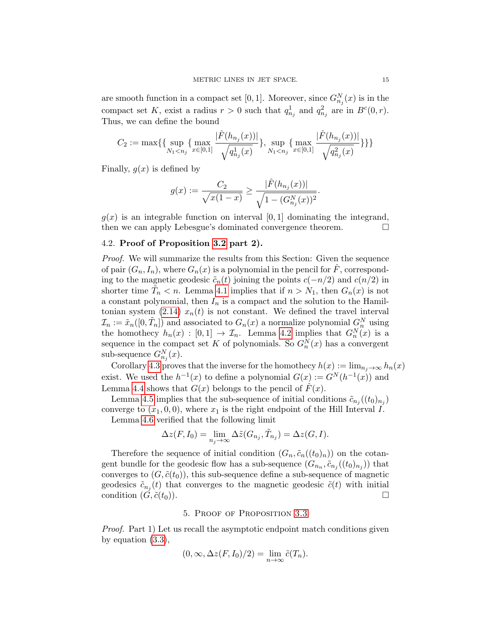are smooth function in a compact set [0, 1]. Moreover, since  $G_{n_j}^N(x)$  is in the compact set K, exist a radius  $r > 0$  such that  $q_{n_j}^1$  and  $q_{n_j}^2$  are in  $B^c(0,r)$ . Thus, we can define the bound

$$
C_2:=\max\{\{\sup_{N_1
$$

Finally,  $q(x)$  is defined by

$$
g(x) := \frac{C_2}{\sqrt{x(1-x)}} \ge \frac{|\hat{F}(h_{n_j}(x))|}{\sqrt{1 - (G^N_{n_j}(x))^2}}.
$$

 $q(x)$  is an integrable function on interval [0, 1] dominating the integrand, then we can apply Lebesgue's dominated convergence theorem.

## <span id="page-14-1"></span>4.2. Proof of Proposition [3.2](#page-7-0) part 2).

Proof. We will summarize the results from this Section: Given the sequence of pair  $(G_n, I_n)$ , where  $G_n(x)$  is a polynomial in the pencil for F, corresponding to the magnetic geodesic  $\tilde{c}_n(t)$  joining the points  $c(-n/2)$  and  $c(n/2)$  in shorter time  $\tilde{T}_n < n$ . Lemma [4.1](#page-8-2) implies that if  $n > N_1$ , then  $G_n(x)$  is not a constant polynomial, then  $I_n$  is a compact and the solution to the Hamil-tonian system [\(2.14\)](#page-5-0)  $x_n(t)$  is not constant. We defined the travel interval  $\mathcal{I}_n := \tilde{x}_n([0, \tilde{T}_n])$  and associated to  $G_n(x)$  a normalize polynomial  $G_n^N$  using the homothecy  $h_n(x) : [0,1] \to \mathcal{I}_n$ . Lemma [4.2](#page-10-0) implies that  $G_n^N(x)$  is a sequence in the compact set K of polynomials. So  $G_n^N(x)$  has a convergent sub-sequence  $G_{n_j}^N(x)$ .

Corollary [4.3](#page-10-2) proves that the inverse for the homothecy  $h(x) := \lim_{n_i \to \infty} h_n(x)$ exist. We used the  $h^{-1}(x)$  to define a polynomial  $G(x) := G^N(h^{-1}(x))$  and Lemma [4.4](#page-12-0) shows that  $G(x)$  belongs to the pencil of  $\hat{F}(x)$ .

Lemma [4.5](#page-12-1) implies that the sub-sequence of initial conditions  $\tilde{c}_{n_j}((t_0)_{n_j})$ converge to  $(x_1, 0, 0)$ , where  $x_1$  is the right endpoint of the Hill Interval I. Lemma [4.6](#page-13-0) verified that the following limit

$$
\Delta z(F, I_0) = \lim_{n_j \to \infty} \Delta \tilde{z}(G_{n_j}, \tilde{T}_{n_j}) = \Delta z(G, I).
$$

Therefore the sequence of initial condition  $(G_n, \tilde{c}_n((t_0)_n))$  on the cotangent bundle for the geodesic flow has a sub-sequence  $(G_{n_n}, \tilde{c}_{n_j}((t_0)_{n_j}))$  that converges to  $(G, \tilde{c}(t_0))$ , this sub-sequence define a sub-sequence of magnetic geodesics  $\tilde{c}_{n_j}(t)$  that converges to the magnetic geodesic  $\tilde{c}(t)$  with initial condition  $(G, \tilde{c}(t_0)).$ 

#### 5. Proof of Proposition [3.3](#page-7-1)

<span id="page-14-0"></span>Proof. Part 1) Let us recall the asymptotic endpoint match conditions given by equation [\(3.3\)](#page-6-3),

$$
(0, \infty, \Delta z(F, I_0)/2) = \lim_{n \to \infty} \tilde{c}(T_n).
$$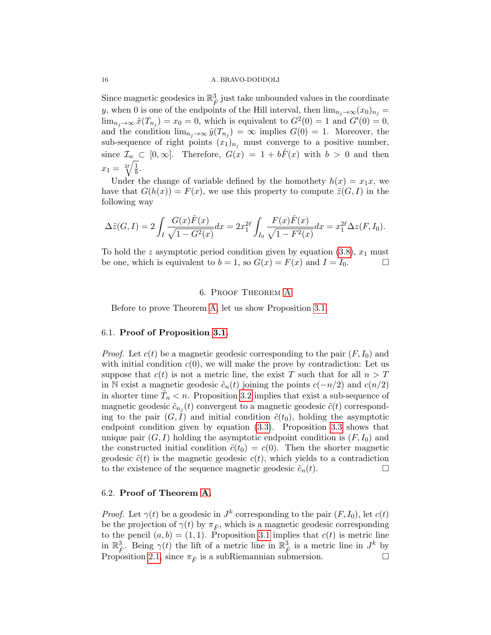Since magnetic geodesics in  $\mathbb{R}^3_{\hat{F}}$  just take unbounded values in the coordinate y, when 0 is one of the endpoints of the Hill interval, then  $\lim_{n_j\to\infty}(x_0)_{n_j}=$  $\lim_{n_j \to \infty} \tilde{x}(T_{n_j}) = x_0 = 0$ , which is equivalent to  $G^2(0) = 1$  and  $G'(0) = 0$ , and the condition  $\lim_{n_j \to \infty} \tilde{y}(T_{n_j}) = \infty$  implies  $G(0) = 1$ . Moreover, the sub-sequence of right points  $(x_1)_{n_j}$  must converge to a positive number, since  $\mathcal{I}_n \subset [0,\infty]$ . Therefore,  $G(x) = 1 + b\hat{F}(x)$  with  $b > 0$  and then  $x_1 = \sqrt[2\ell]{\frac{1}{b}}$  $\frac{1}{b}$ .

Under the change of variable defined by the homothety  $h(x) = x_1x$ , we have that  $G(h(x)) = F(x)$ , we use this property to compute  $\tilde{z}(G, I)$  in the following way

$$
\Delta \tilde{z}(G, I) = 2 \int_I \frac{G(x)\hat{F}(x)}{\sqrt{1 - G^2(x)}} dx = 2x_1^{2\ell} \int_{I_0} \frac{F(x)\hat{F}(x)}{\sqrt{1 - F^2(x)}} dx = x_1^{2\ell} \Delta z(F, I_0).
$$

To hold the z asymptotic period condition given by equation  $(3.8)$ ,  $x_1$  must be one, which is equivalent to  $b = 1$ , so  $G(x) = F(x)$  and  $I = I_0$ .

#### 6. Proof Theorem [A](#page-1-1)

<span id="page-15-0"></span>Before to prove Theorem [A,](#page-1-1) let us show Proposition [3.1.](#page-6-1)

#### 6.1. Proof of Proposition [3.1.](#page-6-1)

*Proof.* Let  $c(t)$  be a magnetic geodesic corresponding to the pair  $(F, I_0)$  and with initial condition  $c(0)$ , we will make the prove by contradiction: Let us suppose that  $c(t)$  is not a metric line, the exist T such that for all  $n > T$ in N exist a magnetic geodesic  $\tilde{c}_n(t)$  joining the points  $c(-n/2)$  and  $c(n/2)$ in shorter time  $\tilde{T}_n < n$ . Proposition [3.2](#page-7-0) implies that exist a sub-sequence of magnetic geodesic  $\tilde{c}_{n_j}(t)$  convergent to a magnetic geodesic  $\tilde{c}(t)$  corresponding to the pair  $(G, I)$  and initial condition  $\tilde{c}(t_0)$ , holding the asymptotic endpoint condition given by equation [\(3.3\)](#page-6-3). Proposition [3.3](#page-7-1) shows that unique pair  $(G, I)$  holding the asymptotic endpoint condition is  $(F, I_0)$  and the constructed initial condition  $\tilde{c}(t_0) = c(0)$ . Then the shorter magnetic geodesic  $\tilde{c}(t)$  is the magnetic geodesic  $c(t)$ , which yields to a contradiction to the existence of the sequence magnetic geodesic  $\tilde{c}_n(t)$ .

## 6.2. Proof of Theorem [A.](#page-1-1)

*Proof.* Let  $\gamma(t)$  be a geodesic in  $J^k$  corresponding to the pair  $(F, I_0)$ , let  $c(t)$ be the projection of  $\gamma(t)$  by  $\pi_{\hat{F}}$ , which is a magnetic geodesic corresponding to the pencil  $(a, b) = (1, 1)$ . Proposition [3.1](#page-6-1) implies that  $c(t)$  is metric line in  $\mathbb{R}^3_{\hat{F}}$ . Being  $\gamma(t)$  the lift of a metric line in  $\mathbb{R}^3_{\hat{F}}$  is a metric line in  $J^k$  by Proposition [2.1,](#page-3-0) since  $\pi_{\hat{F}}$  is a subRiemannian submersion.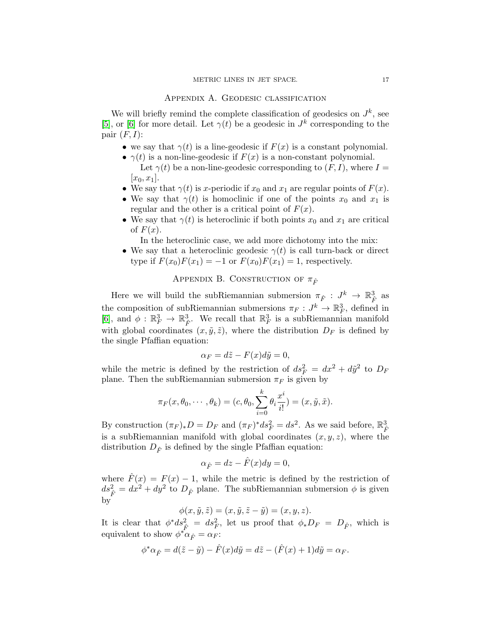## Appendix A. Geodesic classification

<span id="page-16-0"></span>We will briefly remind the complete classification of geodesics on  $J^k$ , see [\[5\]](#page-19-0), or [\[6\]](#page-19-1) for more detail. Let  $\gamma(t)$  be a geodesic in  $J^k$  corresponding to the pair  $(F, I)$ :

- we say that  $\gamma(t)$  is a line-geodesic if  $F(x)$  is a constant polynomial.
- $\gamma(t)$  is a non-line-geodesic if  $F(x)$  is a non-constant polynomial. Let  $\gamma(t)$  be a non-line-geodesic corresponding to  $(F, I)$ , where  $I =$  $[x_0, x_1]$ .
- We say that  $\gamma(t)$  is x-periodic if  $x_0$  and  $x_1$  are regular points of  $F(x)$ .
- We say that  $\gamma(t)$  is homoclinic if one of the points  $x_0$  and  $x_1$  is regular and the other is a critical point of  $F(x)$ .
- We say that  $\gamma(t)$  is heteroclinic if both points  $x_0$  and  $x_1$  are critical of  $F(x)$ .

In the heteroclinic case, we add more dichotomy into the mix:

• We say that a heteroclinic geodesic  $\gamma(t)$  is call turn-back or direct type if  $F(x_0)F(x_1) = -1$  or  $F(x_0)F(x_1) = 1$ , respectively.

## APPENDIX B. CONSTRUCTION OF  $\pi_{\hat{F}}$

<span id="page-16-1"></span>Here we will build the subRiemannian submersion  $\pi_{\hat{F}} : J^k \to \mathbb{R}_{\hat{F}}^3$  as the composition of subRiemannian submersions  $\pi_F: J^k \to \mathbb{R}^3_F$ , defined in [\[6\]](#page-19-1), and  $\phi : \mathbb{R}^3_F \to \mathbb{R}^3_{\hat{F}}$ . We recall that  $\mathbb{R}^3_F$  is a subRiemannian manifold with global coordinates  $(x, \tilde{y}, \tilde{z})$ , where the distribution  $D_F$  is defined by the single Pfaffian equation:

$$
\alpha_F = d\tilde{z} - F(x)d\tilde{y} = 0,
$$

while the metric is defined by the restriction of  $ds_F^2 = dx^2 + d\tilde{y}^2$  to  $D_F$ plane. Then the subRiemannian submersion  $\pi_F$  is given by

$$
\pi_F(x, \theta_0, \cdots, \theta_k) = (c, \theta_0, \sum_{i=0}^k \theta_i \frac{x^i}{i!}) = (x, \tilde{y}, \tilde{x}).
$$

By construction  $(\pi_F)_* D = D_F$  and  $(\pi_F)^* ds_F^2 = ds^2$ . As we said before,  $\mathbb{R}_{\hat{F}}^3$ is a subRiemannian manifold with global coordinates  $(x, y, z)$ , where the distribution  $D_{\hat{F}}$  is defined by the single Pfaffian equation:

$$
\alpha_{\hat{F}} = dz - \hat{F}(x)dy = 0,
$$

where  $\hat{F}(x) = F(x) - 1$ , while the metric is defined by the restriction of  $ds^2 = dx^2 + dy^2$  to  $D_{\hat{F}}$  plane. The subRiemannian submersion  $\phi$  is given by

$$
\phi(x, \tilde{y}, \tilde{z}) = (x, \tilde{y}, \tilde{z} - \tilde{y}) = (x, y, z).
$$

It is clear that  $\phi^* ds^2_{\hat{F}} = ds^2_F$ , let us proof that  $\phi_* D_F = D_{\hat{F}}$ , which is equivalent to show  $\phi^* \alpha_{\hat{F}} = \alpha_F$ :

$$
\phi^*\alpha_{\hat{F}} = d(\tilde{z} - \tilde{y}) - \hat{F}(x)d\tilde{y} = d\tilde{z} - (\hat{F}(x) + 1)d\tilde{y} = \alpha_F.
$$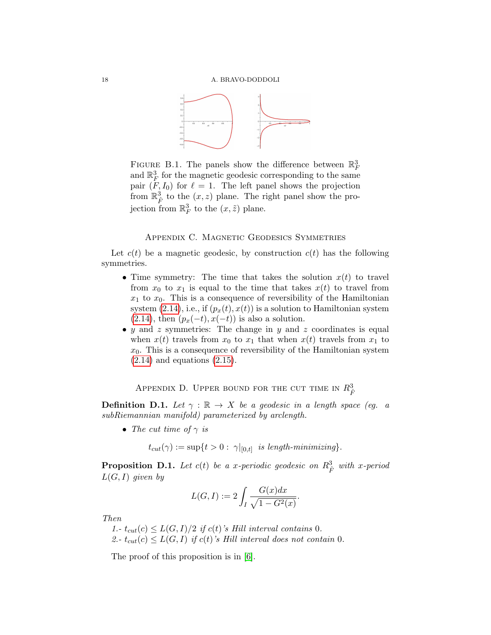

<span id="page-17-0"></span>FIGURE B.1. The panels show the difference between  $\mathbb{R}^3$ and  $\mathbb{R}^3_F$  for the magnetic geodesic corresponding to the same pair  $(F, I_0)$  for  $\ell = 1$ . The left panel shows the projection from  $\mathbb{R}^3_{\hat{F}}$  to the  $(x, z)$  plane. The right panel show the projection from  $\mathbb{R}^3_F$  to the  $(x,\tilde{z})$  plane.

#### Appendix C. Magnetic Geodesics Symmetries

<span id="page-17-1"></span>Let  $c(t)$  be a magnetic geodesic, by construction  $c(t)$  has the following symmetries.

- Time symmetry: The time that takes the solution  $x(t)$  to travel from  $x_0$  to  $x_1$  is equal to the time that takes  $x(t)$  to travel from  $x_1$  to  $x_0$ . This is a consequence of reversibility of the Hamiltonian system  $(2.14)$ , i.e., if  $(p_x(t), x(t))$  is a solution to Hamiltonian system  $(2.14)$ , then  $(p_x(-t), x(-t))$  is also a solution.
- $y$  and  $z$  symmetries: The change in  $y$  and  $z$  coordinates is equal when  $x(t)$  travels from  $x_0$  to  $x_1$  that when  $x(t)$  travels from  $x_1$  to  $x_0$ . This is a consequence of reversibility of the Hamiltonian system  $(2.14)$  and equations  $(2.15)$ .

Appendix D. Upper bound for the cut time in  $R_{\hat F}^3$ 

<span id="page-17-3"></span>**Definition D.1.** Let  $\gamma : \mathbb{R} \to X$  be a geodesic in a length space (eg. a subRiemannian manifold) parameterized by arclength.

• The cut time of  $\gamma$  is

 $t_{cut}(\gamma) := \sup\{t > 0: \|\gamma|_{[0,t]} \text{ is length-minimizing}\}.$ 

<span id="page-17-2"></span>**Proposition D.1.** Let  $c(t)$  be a x-periodic geodesic on  $R^3_{\hat{F}}$  with x-period  $L(G, I)$  given by

$$
L(G, I) := 2 \int_I \frac{G(x)dx}{\sqrt{1 - G^2(x)}}.
$$

Then

1.-  $t_{cut}(c) \leq L(G, I)/2$  if  $c(t)$ 's Hill interval contains 0. 2.-  $t_{cut}(c) \leq L(G, I)$  if  $c(t)$ 's Hill interval does not contain 0.

The proof of this proposition is in [\[6\]](#page-19-1).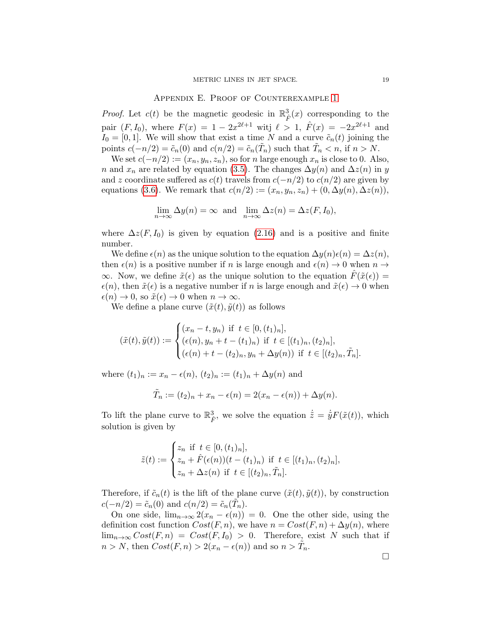#### Appendix E. Proof of Counterexample [1](#page-8-1)

<span id="page-18-0"></span>*Proof.* Let  $c(t)$  be the magnetic geodesic in  $\mathbb{R}^3_{\hat{F}}(x)$  corresponding to the pair  $(F, I_0)$ , where  $F(x) = 1 - 2x^{2\ell+1}$  witj  $\ell > 1$ ,  $\hat{F}(x) = -2x^{2\ell+1}$  and  $I_0 = [0, 1]$ . We will show that exist a time N and a curve  $\tilde{c}_n(t)$  joining the points  $c(-n/2) = \tilde{c}_n(0)$  and  $c(n/2) = \tilde{c}_n(\tilde{T}_n)$  such that  $\tilde{T}_n < n$ , if  $n > N$ .

We set  $c(-n/2) := (x_n, y_n, z_n)$ , so for n large enough  $x_n$  is close to 0. Also, n and  $x_n$  are related by equation [\(3.5\)](#page-7-4). The changes  $\Delta y(n)$  and  $\Delta z(n)$  in y and z coordinate suffered as  $c(t)$  travels from  $c(-n/2)$  to  $c(n/2)$  are given by equations [\(3.6\)](#page-7-5). We remark that  $c(n/2) := (x_n, y_n, z_n) + (0, \Delta y(n), \Delta z(n)),$ 

$$
\lim_{n \to \infty} \Delta y(n) = \infty \text{ and } \lim_{n \to \infty} \Delta z(n) = \Delta z(F, I_0),
$$

where  $\Delta z(F, I_0)$  is given by equation [\(2.16\)](#page-5-1) and is a positive and finite number.

We define  $\epsilon(n)$  as the unique solution to the equation  $\Delta y(n)\epsilon(n) = \Delta z(n)$ , then  $\epsilon(n)$  is a positive number if n is large enough and  $\epsilon(n) \to 0$  when  $n \to \infty$  $\infty$ . Now, we define  $\tilde{x}(\epsilon)$  as the unique solution to the equation  $\tilde{F}(\tilde{x}(\epsilon)) =$  $\epsilon(n)$ , then  $\tilde{x}(\epsilon)$  is a negative number if n is large enough and  $\tilde{x}(\epsilon) \to 0$  when  $\epsilon(n) \to 0$ , so  $\tilde{x}(\epsilon) \to 0$  when  $n \to \infty$ .

We define a plane curve  $(\tilde{x}(t), \tilde{y}(t))$  as follows

$$
(\tilde{x}(t), \tilde{y}(t)) := \begin{cases} (x_n - t, y_n) & \text{if } t \in [0, (t_1)_n], \\ (\epsilon(n), y_n + t - (t_1)_n) & \text{if } t \in [(t_1)_n, (t_2)_n], \\ (\epsilon(n) + t - (t_2)_n, y_n + \Delta y(n)) & \text{if } t \in [(t_2)_n, \tilde{T}_n]. \end{cases}
$$

where  $(t_1)_n := x_n - \epsilon(n)$ ,  $(t_2)_n := (t_1)_n + \Delta y(n)$  and

$$
\tilde{T}_n := (t_2)_n + x_n - \epsilon(n) = 2(x_n - \epsilon(n)) + \Delta y(n).
$$

To lift the plane curve to  $\mathbb{R}^3_{\hat{F}}$ , we solve the equation  $\dot{\tilde{z}} = \dot{\tilde{y}} F(\tilde{x}(t))$ , which solution is given by

$$
\tilde{z}(t) := \begin{cases} z_n & \text{if } t \in [0, (t_1)_n], \\ z_n + \hat{F}(\epsilon(n))(t - (t_1)_n) & \text{if } t \in [(t_1)_n, (t_2)_n], \\ z_n + \Delta z(n) & \text{if } t \in [(t_2)_n, \tilde{T}_n]. \end{cases}
$$

Therefore, if  $\tilde{c}_n(t)$  is the lift of the plane curve  $(\tilde{x}(t), \tilde{y}(t))$ , by construction  $c(-n/2) = \tilde{c}_n(0)$  and  $c(n/2) = \tilde{c}_n(\tilde{T}_n)$ .

On one side,  $\lim_{n\to\infty} 2(x_n - \epsilon(n)) = 0$ . One the other side, using the definition cost function  $Cost(F, n)$ , we have  $n = Cost(F, n) + \Delta y(n)$ , where  $\lim_{n\to\infty} Cost(F,n) = Cost(F,I_0) > 0$ . Therefore, exist N such that if  $n > N$ , then  $Cost(F, n) > 2(x_n - \epsilon(n))$  and so  $n > \tilde{T}_n$ .